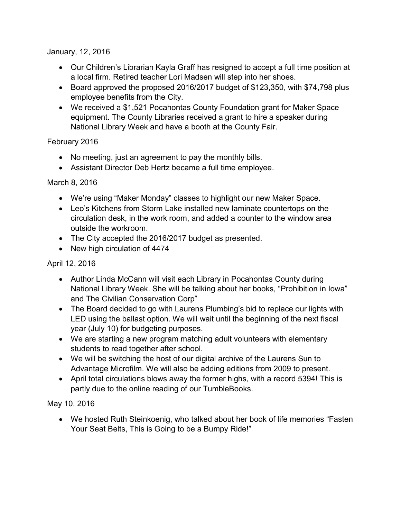January, 12, 2016

- Our Children's Librarian Kayla Graff has resigned to accept a full time position at a local firm. Retired teacher Lori Madsen will step into her shoes.
- Board approved the proposed 2016/2017 budget of \$123,350, with \$74,798 plus employee benefits from the City.
- We received a \$1,521 Pocahontas County Foundation grant for Maker Space equipment. The County Libraries received a grant to hire a speaker during National Library Week and have a booth at the County Fair.

February 2016

- No meeting, just an agreement to pay the monthly bills.
- Assistant Director Deb Hertz became a full time employee.

March 8, 2016

- We're using "Maker Monday" classes to highlight our new Maker Space.
- Leo's Kitchens from Storm Lake installed new laminate countertops on the circulation desk, in the work room, and added a counter to the window area outside the workroom.
- The City accepted the 2016/2017 budget as presented.
- New high circulation of 4474

April 12, 2016

- Author Linda McCann will visit each Library in Pocahontas County during National Library Week. She will be talking about her books, "Prohibition in Iowa" and The Civilian Conservation Corp"
- The Board decided to go with Laurens Plumbing's bid to replace our lights with LED using the ballast option. We will wait until the beginning of the next fiscal year (July 10) for budgeting purposes.
- We are starting a new program matching adult volunteers with elementary students to read together after school.
- We will be switching the host of our digital archive of the Laurens Sun to Advantage Microfilm. We will also be adding editions from 2009 to present.
- April total circulations blows away the former highs, with a record 5394! This is partly due to the online reading of our TumbleBooks.

May 10, 2016

 We hosted Ruth Steinkoenig, who talked about her book of life memories "Fasten Your Seat Belts, This is Going to be a Bumpy Ride!"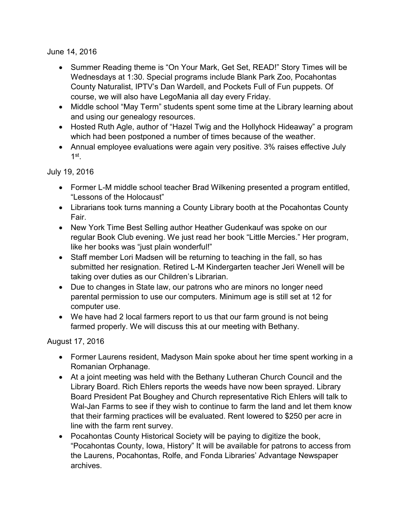June 14, 2016

- Summer Reading theme is "On Your Mark, Get Set, READ!" Story Times will be Wednesdays at 1:30. Special programs include Blank Park Zoo, Pocahontas County Naturalist, IPTV's Dan Wardell, and Pockets Full of Fun puppets. Of course, we will also have LegoMania all day every Friday.
- Middle school "May Term" students spent some time at the Library learning about and using our genealogy resources.
- Hosted Ruth Agle, author of "Hazel Twig and the Hollyhock Hideaway" a program which had been postponed a number of times because of the weather.
- Annual employee evaluations were again very positive. 3% raises effective July  $1^{\rm st}$  .

July 19, 2016

- Former L-M middle school teacher Brad Wilkening presented a program entitled, "Lessons of the Holocaust"
- Librarians took turns manning a County Library booth at the Pocahontas County Fair.
- New York Time Best Selling author Heather Gudenkauf was spoke on our regular Book Club evening. We just read her book "Little Mercies." Her program, like her books was "just plain wonderful!"
- Staff member Lori Madsen will be returning to teaching in the fall, so has submitted her resignation. Retired L-M Kindergarten teacher Jeri Wenell will be taking over duties as our Children's Librarian.
- Due to changes in State law, our patrons who are minors no longer need parental permission to use our computers. Minimum age is still set at 12 for computer use.
- We have had 2 local farmers report to us that our farm ground is not being farmed properly. We will discuss this at our meeting with Bethany.

August 17, 2016

- Former Laurens resident, Madyson Main spoke about her time spent working in a Romanian Orphanage.
- At a joint meeting was held with the Bethany Lutheran Church Council and the Library Board. Rich Ehlers reports the weeds have now been sprayed. Library Board President Pat Boughey and Church representative Rich Ehlers will talk to Wal-Jan Farms to see if they wish to continue to farm the land and let them know that their farming practices will be evaluated. Rent lowered to \$250 per acre in line with the farm rent survey.
- Pocahontas County Historical Society will be paying to digitize the book, "Pocahontas County, Iowa, History" It will be available for patrons to access from the Laurens, Pocahontas, Rolfe, and Fonda Libraries' Advantage Newspaper archives.